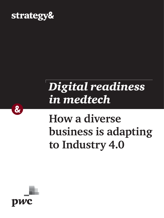

# *Digital readiness in medtech*

# **How a diverse business is adapting to Industry 4.0**



 $\alpha$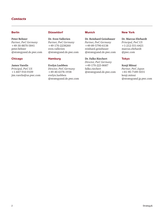### *Contacts*

#### Berlin

**Peter Behner** *Partner, PwC Germany* +49-30-8870-5841 [peter.behner](mailto:peter.behner%40strategyand.de.pwc.com?subject=) [@strategyand.de.pwc.com](mailto:peter.behner%40strategyand.de.pwc.com?subject=)

#### Chicago

**James Varelis**  *Principal, PwC US* +1-847-910-9109 [jim.varelis@us.pwc.com](mailto:jim.varelis%40us.pwc.com%20?subject=)

#### Düsseldorf

**Dr. Sven Vallerien** *Partner, PwC Germany*  +49-170-2238260 [sven.vallerien](mailto:sven.vallerien%40strategyand.de.pwc.com?subject=) [@strategyand.de.pwc.com](mailto:sven.vallerien%40strategyand.de.pwc.com?subject=)

#### **Hamburg**

**Evelyn Luebben** *Director, PwC Germany* +49-40-6378-1938 [evelyn.luebben](mailto:evelyn.luebben%40strategyand.de.pwc.com?subject=) [@strategyand.de.pwc.com](mailto:evelyn.luebben%40strategyand.de.pwc.com?subject=)

#### Munich

**Dr. Reinhard Geissbauer** *Partner, PwC Germany* +49-89-5790-6138 [reinhard.geissbauer](mailto:reinhard.geissbauer%40strategyand.de.pwc.com%20?subject=) [@strategyand.de.pwc.com](mailto:reinhard.geissbauer%40strategyand.de.pwc.com%20?subject=)

**Dr. Falko Riechert** *Director, PwC Germany*  +49-170-223-8687 [falko.riechert](mailto:falko.riechert%40strategyand.de.pwc.com?subject=) [@strategyand.de.pwc.com](mailto:falko.riechert%40strategyand.de.pwc.com?subject=)

#### New York

**Dr. Marcus Ehrhardt** *Principal, PwC US*  $+1-212-551-6421$ [marcus.ehrhardt](mailto:marcus.ehrhardt%40pwc.com%20?subject=) [@pwc.com](mailto:marcus.ehrhardt%40pwc.com%20?subject=) 

#### Tokyo

**Kenji Mitsui**  *Partner, PwC Japan* +81-90-7189-5031 [kenji.mitsui](mailto:kenji.mitsui%40strategyand.jp.pwc.com?subject=) [@strategyand.jp.pwc.com](mailto:kenji.mitsui%40strategyand.jp.pwc.com?subject=)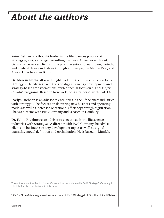## *About the authors*

**Peter Behner** is a thought leader in the life sciences practice at Strategy&, PwC's strategy consulting business. A partner with PwC Germany, he serves clients in the pharmaceuticals, healthcare, biotech, and medical device industries throughout Europe, the Middle East, and Africa. He is based in Berlin.

**Dr. Marcus Ehrhardt** is a thought leader in the life sciences practice at Strategy&. He advises executives on digital strategy development and strategy-based transformations, with a special focus on digital *Fit for Growth*\* programs. Based in New York, he is a principal with PwC US.

**Evelyn Luebben** is an advisor to executives in the life sciences industries with Strategy&. She focuses on delivering new business and operating models as well as increased operational efficiency through digitization. She is a director with PwC Germany and is based in Hamburg.

**Dr. Falko Riechert** is an advisor to executives in the life sciences industries with Strategy&. A director with PwC Germany, he advises clients on business strategy development topics as well as digital operating model definition and optimization. He is based in Munich.

The authors want to thank Morten Grunwald, an associate with PwC Strategy& Germany in Munich, for his contributions to this report.

\* *Fit for Growth* is a registered service mark of PwC Strategy& LLC in the United States.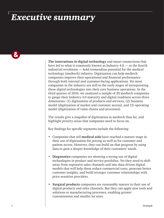## *Executive summary*

**The innovations in digital technology** and smart connections that have led to what is commonly known as Industry 4.0 — or the fourth industrial revolution — hold tremendous potential for the medical technology (medtech) industry. Digitization can help medtech companies improve their operational and financial performance through both internal and customer-facing applications. Yet most companies in the industry are still in the early stages of incorporating these digital technologies into their core business operations. In the third quarter of 2016, we analyzed a sample of 20 medtech companies to gauge their Industry 4.0 maturity and digital readiness across three dimensions: (1) digitization of products and services; (2) business model (digitization of market and customer access); and (3) operating model (digitization of value chains and processes).

The results give a snapshot of digitization in medtech thus far, and highlight priority areas that companies need to focus on.

Key findings for specific segments include the following:

- Companies that sell **medical aids** have reached a mature stage in their use of digitization for pricing as well as for customer and patient access. However, they can build on that progress by using data to gain a deeper knowledge of their customers' needs.
- **Diagnostics** companies are showing a strong use of digital technologies in product and service portfolios. Yet they need to shift away from expensive sales channels and into data-driven digital models that will help them reduce commercial costs, generate better customer insights, and build stronger customer relationships with price-sensitive providers.
- **Surgical products** companies are reasonably mature in their use of digital products and sales channels. But they can apply new tools and solutions to manufacturing processes, enabling greater customization and smaller lot sizes.

 $\boldsymbol{\alpha}$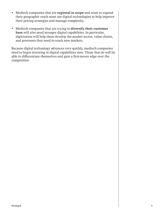- Medtech companies that are **regional in scope** and want to expand their geographic reach must use digital technologies to help improve their pricing strategies and manage complexity.
- Medtech companies that are trying to **diversify their customer base** will also need stronger digital capabilities. In particular, digitization will help them develop the market access, value chains, and processes they need to reach new markets.

Because digital technology advances very quickly, medtech companies need to begin investing in digital capabilities now. Those that do will be able to differentiate themselves and gain a first-mover edge over the competition.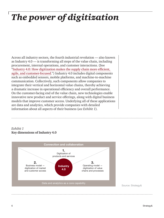## *The power of digitization*

Across all industry sectors, the fourth industrial revolution — also known as Industry 4.0 — is transforming all steps of the value chain, including procurement, internal operations, and customer interactions. (See ["Industry 4.0: How digitization makes the supply chain more efficient,](http://www.strategyand.pwc.com/reports/industry-4-0)  [agile, and customer-focused](http://www.strategyand.pwc.com/reports/industry-4-0).") Industry 4.0 includes digital components such as embedded sensors, mobile platforms, and machine-to-machine communication. Collectively, such components allow companies to integrate their vertical and horizontal value chains, thereby achieving a dramatic increase in operational efficiency and overall performance. On the customer-facing end of the value chain, new technologies enable innovative new product and service offerings, along with digital business models that improve customer access. Underlying all of these applications are data and analytics, which provide companies with detailed information about all aspects of their business (*see Exhibit 1*).

### *Exhibit 1* **Key dimensions of Industry 4.0**

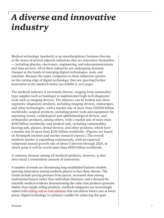## *A diverse and innovative industry*

Medical technology (medtech) is an interdisciplinary business that sits at the nexus of several adjacent industries that are innovative themselves — including pharma, electronics, engineering, and telecommunications and data services. All of these industries are undergoing dramatic changes at the hands of emerging digital technologies, tools, and solutions. Because the major companies in these industries operate on the cutting edge of digital technology, they are spurring further innovation in the medtech sector (*see Exhibit 2, next page*).

The medtech industry is extremely diverse, ranging from commoditytype supplies such as bandages to sophisticated high-tech diagnostic tools such as imaging devices. The industry can be broken into three segments: diagnostic products, including imaging devices, endoscopes, and other technologies, with a market size of more than US\$100 billion worldwide; surgical products, including power tools and equipment for operating rooms, cardiological and ophthalmological devices, and orthopedics products, among others, with a market size of more than \$140 billion worldwide; and medical aids, including consumables, hearing aids, glasses, dental devices, and other products, which have a market size of more than \$150 billion worldwide. (Figures are based on Strategy& analysis and market research reports.) The overall medtech market is expanding continuously, with an expected compound annual growth rate of about 5 percent through 2020, at which point it will be worth more than \$500 billion worldwide.

A common element among all medtech products, however, is that they entail a tremendous amount of innovation.

A number of trends are threatening long-established business models, spurring innovation among medtech players to face these threats. The trends include pricing pressure from payors, increased clout among institutional buyers rather than individual clinicians, and a demand for scientific medical evidence demonstrating the value that products generate. Rather than simply selling products, medtech companies are increasingly tasked with [selling end-to-end solutions](http://www.pwc.com/us/en/health-industries/health-research-institute/publications/making-collaborations-work.html) that can deliver better care at lower prices. Digital technology is a primary enabler for achieving this goal.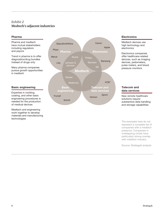## *Exhibit 2* **Medtech's adjacent industries**

#### Pharma

Pharma and medtech have mutual stakeholders including regulators and payors

Trend in pharma is to offer diagnostics/drug bundles instead of drugs only

Many pharma companies pursue growth opportunities in medtech

#### Basic engineering

Expertise in molding, coating, and other basic engineering procedures is needed for the production of medical devices

Medtech and engineering work together to develop materials and manufacturing technologies



#### **Electronics**

Medtech devices use high technology and electronics

Electronics companies offer healthcare-related devices, such as imaging devices, pedometers, pulse meters, and blood pressure monitors

#### Telecom and data services

New remote healthcare solutions require substantive data handling and storage capabilities

The examples here do not represent a complete list of companies with a medtech presence. Companies in overlapping circles have particularly strong overlap with medtech industry.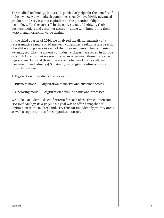The medical technology industry is particularly ripe for the benefits of Industry 4.0. Many medtech companies already have highly advanced products and services that capitalize on the potential of digital technology. Yet they are still in the early stages of digitizing their business models and customer access — along with integrating their vertical and horizontal value chains.

In the third quarter of 2016, we analyzed the digital maturity of a representative sample of 20 medtech companies, seeking a cross-section of well-known players in each of the three segments. The companies we analyzed, like the majority of industry players, are based in Europe or North America, but we sought a balance between those that serve regional markets and those that serve global markets. For all, we measured their Industry 4.0 maturity and digital readiness across three dimensions:

- 1. Digitization of products and services
- 2. Business model digitization of market and customer access
- 3. Operating model digitization of value chains and processes

We looked at a detailed set of criteria for each of the three dimensions (*see Methodology, next page*). Our goal was to offer a snapshot of digitization in the medtech industry thus far and identify priority areas as well as opportunities for companies to target.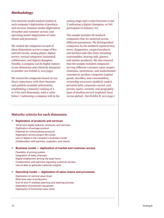### *Methodology*

Our maturity model analysis looked at each company's digitization of products and services; business model (digitization of market and customer access); and operating model (digitization of value chains and processes).

We ranked the companies in each of these dimensions across a range of five maturity levels: analog player; digital novice; vertical integrator; horizontal collaborator; and digital champion. Notably, a company can be highly mature in one dimension and relatively immature in another (*see Exhibit A, next page*).

We scored the companies based on our direct experience with their business and publicly available information, establishing a maturity ranking of 1 to 5 for each dimension, with a value below 1 indicating a company still in the

analog stage and a value between 4 and 5 indicating a digital champion, or full participant in Industry 4.0.

The sample includes 20 medtech companies that we analyzed across different parameters. We distinguished companies by the medtech segment they serve: diagnostics, surgical products, and medical aids (the latter including consumables, hearing aids, glasses, and similar products). We also ensured that the sample included companies serving different customer types (expert clinicians, institutions, and multichannel customers); product categories (capital goods, durables, and consumables); ownership structures (publicly traded, privately held, corporate-owned, and private equity–owned); and geographic span of markets served (regional/local versus global). (*See Exhibit B, next page*.)

### **Maturity criteria for each dimension**

#### • Digitization of products and services

Value from digital features, products, and services Digitization of average product Potential for individualized products Digitization across project life cycles Use of digital in the company's business model Collaboration with partners, suppliers, and clients

#### • Business model — digitization of market and customer access

Flexibility of pricing system Integration of sales channels Digital enablement among the sales force Collaboration with partners regarding customer access Use of data to generate customer insights

• Operating model — digitization of value chains and processes

Digitization of vertical value chain Real-time view of production End-to-end IT-enabled planning and steering process Digitization of production equipment Digitization of horizontal value chain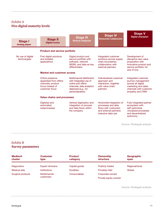## *Exhibit A* **Five digital maturity levels**

| Stage I<br><b>Analog player</b>   | <b>Stage II</b><br><b>Digital novice</b>                                                             | <b>Stage III</b><br><b>Vertical integrator</b>                                                                                                   | <b>Stage IV</b><br><b>Horizontal collaborator</b>                                                                       | <b>Stage V</b><br><b>Digital champion</b>                                                                                           |  |  |
|-----------------------------------|------------------------------------------------------------------------------------------------------|--------------------------------------------------------------------------------------------------------------------------------------------------|-------------------------------------------------------------------------------------------------------------------------|-------------------------------------------------------------------------------------------------------------------------------------|--|--|
|                                   | <b>Product and service portfolio</b>                                                                 |                                                                                                                                                  |                                                                                                                         |                                                                                                                                     |  |  |
| No use of digital<br>technologies | First digital solutions<br>and isolated<br>applications                                              | Digital product and<br>service portfolio with<br>software, network<br>(M2M), and data as key<br>differentiator                                   | Integrated customer<br>solutions across supply<br>chain boundaries:<br>collaboration with<br>external partners          | Development of<br>disruptive new value<br>proposition with<br>innovative product and<br>service portfolio; lot<br>size of one       |  |  |
|                                   | <b>Market and customer access</b>                                                                    |                                                                                                                                                  |                                                                                                                         |                                                                                                                                     |  |  |
|                                   | Online presence<br>separated from offline<br>channels; product<br>focus instead of<br>customer focus | Multichannel distribution<br>with integrated use of<br>online and offline<br>channels; data analytics<br>deployed (e.g., for<br>personalization) | Individualized customer<br>approach and<br>interaction, together<br>with value chain<br>partners                        | Integrated customer<br>journey management<br>across all digital<br>marketing and sales<br>channels with customer<br>empathy and CRM |  |  |
|                                   | <b>Value chains and processes</b>                                                                    |                                                                                                                                                  |                                                                                                                         |                                                                                                                                     |  |  |
|                                   | Digitized and<br>automated<br>subprocesses                                                           | Vertical digitization and<br>integration of process<br>and data flows within<br>the company                                                      | Horizontal integration of<br>processes and data<br>flows with customers<br>and external partners;<br>intensive data use | Fully integrated partner<br>ecosystem with<br>self-optimized,<br>virtualized processes<br>and decentralized<br>autonomy             |  |  |

Source: Strategy& analysis

## *Exhibit B* **Survey parameters**

| <b>Medtech</b><br>cluster | <b>Customer</b><br>type  | <b>Product</b><br>category | Ownership<br>structure | Geographic<br>span |
|---------------------------|--------------------------|----------------------------|------------------------|--------------------|
| <b>Diagnostics</b>        | <b>Expert clinicians</b> | Capital goods              | <b>Publicly traded</b> | Regional/local     |
| Medical aids              | <b>Institutions</b>      | <b>Durables</b>            | <b>Privately held</b>  | Global             |
| Surgical products         | Multichannel             | Consumables                | Corporate-owned        |                    |
|                           | customers                |                            | Private equity-owned   |                    |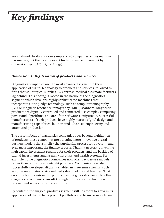## *Key findings*

We analyzed the data for our sample of 20 companies across multiple parameters, but the most relevant findings can be broken out by dimension (*see Exhibit 3, next page*).

## *Dimension 1: Digitization of products and services*

Diagnostics companies are the most advanced segment in their application of digital technology to products and services, followed by firms that sell surgical supplies. By contrast, medical aids manufacturers lag behind. This finding is rooted in the nature of the diagnostics segment, which develops highly sophisticated machines that incorporate cutting-edge technology, such as computer tomography (CT) or magnetic resonance tomography (MRT) scanners. Diagnostic products are digitally controlled and connected, use complex computing power and algorithms, and are often software-configurable. Successful manufacturers of such products have highly mature digital design and manufacturing capabilities, built around advanced engineering and automated production.

The current focus of diagnostics companies goes beyond digitization of products; these companies are pursuing more innovative digital business models that simplify the purchasing process for buyers — and, even more important, the finance process. That is a necessity, given the high capital investment required for their products, and the backlog of capital investments among many hospitals and health systems. For example, some diagnostics companies now offer pay-per-use models rather than requiring an outright purchase. Companies have also successfully developed digitally enabled new revenue streams, such as software updates or streamlined sales of additional features. That creates a better customer experience, and it generates usage data that diagnostics companies can sift through for insights to refine their product and service offerings over time.

By contrast, the surgical products segment still has room to grow in its application of digital to its product portfolios and business models, and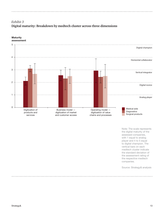## *Exhibit 3* **Digital maturity: Breakdown by medtech cluster across three dimensions**



#### **Maturity** assessment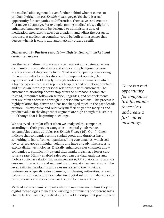the medical aids segment is even further behind when it comes to product digitization (*see Exhibit 4, next page*). Yet there is a real opportunity for companies to differentiate themselves and create a first-mover advantage. For example, among medical aids, a digitally enhanced bandage could be designed to administer a dose of medication, measure its effect on a patient, and adjust the dosage in response. A medication container could be built with a sensor that detects when it is empty and automatically orders a refill.

## *Dimension 2: Business model — digitization of market and customer access*

For the second dimension we analyzed, market and customer access, companies in the medical aids and surgical supply segments were slightly ahead of diagnostics firms. That is not surprising considering the way the sales forces for diagnostic equipment operate; the equipment is still sold largely through traditional channels in which a highly experienced sales rep visits hospitals and outpatient practices, and builds an intensely personal relationship with customers. The customer relationship doesn't stop after the purchase is complete; instead, it requires follow-on service, upgrades, and other elements that are often addressed through in-person interactions. This process is highly relationship-driven and has not changed much in the past decade or more. It's expensive and relatively inefficient, yet the margins and product value in the diagnostics segment are high enough to sustain it — although that is beginning to change.

We observed a similar effect when we analyzed the companies according to their product categories — capital goods versus consumables versus durables (*see Exhibit 5, page 16*). Our findings indicate that companies selling capital goods and durables have something to learn from companies selling consumables, which sell lower-priced goods in higher volume and have already taken steps to exploit digital technologies. Digitally enhanced sales channels allow companies to significantly extend their market reach at a lower costto-serve rate. Highly enabled sales reps can use data analytics and mobile customer relationship management (CRM) platforms to analyze customer interactions and segment customers at an extremely granular level, tailoring marketing and sales messages to the individual preferences of specific sales channels, purchasing authorities, or even individual clinicians. Reps can also use digital solutions to dynamically price products and services across the portfolio in real time.

Medical aids companies in particular are more mature in how they use digital technologies to meet the varying requirements of different sales channels. For example, medical aids are sold to outpatient practitioners,

*There is a real opportunity for companies to differentiate themselves and create a first-mover advantage.*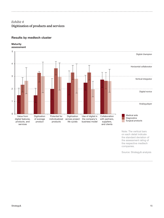## *Exhibit 4* **Digitization of products and services**

#### Results by medtech cluster

#### **Maturity** assessment



Note: The vertical bars on each detail indicate the standard deviation of the assessment rating of the respective medtech companies.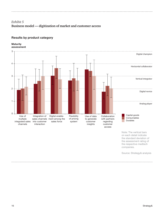## *Exhibit 5* **Business model — digitization of market and customer access**

### Results by product category

#### **Maturity** assessment



on each detail indicate the standard deviation of the assessment rating of the respective medtech companies.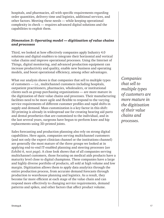hospitals, and pharmacies, all with specific requirements regarding order quantities, delivery time and logistics, additional services, and other factors. Meeting these needs *—* while keeping operational complexity in check *—* requires advanced digital solutions and the capabilities to exploit them.

## *Dimension 3: Operating model — digitization of value chains and processes*

Third, we looked at how effectively companies apply Industry 4.0 solutions and digital enablers to integrate their horizontal and vertical value chains and improve operational processes. Using the Internet of Things, digital monitoring, and advanced production equipment can increase productivity and quality, enable new business and operating models, and boost operational efficiency, among other advantages.

What our analysis shows is that companies that sell to multiple types of customers — i.e., multichannel customers including hospitals, outpatient practitioners, pharmacies, wholesalers, or institutional clients such as group purchasing organizations *—* are more mature in the digitization of their value chains and processes. Their manufacturing facilities need to be more agile and flexible to respond to the varying service requirements of different customer profiles and rapid shifts in supply and demand. Mass customization is a key factor in this shift: 3D printing is already in widespread use for creating hearing aid parts and dental prosthetics that are customized to the individual, and in the last several years, surgeons have begun to perform knee and hip replacements using 3D-printed joints.

Sales forecasting and production planning also rely on strong digital capabilities. Here again, companies serving multichannel customers (and not only the expert clinician channel or the institutions channel) are generally the most mature of the three groups we looked at in applying end-to-end IT-enabled planning and steering processes (*see Exhibit 6, next page*). A close look shows that of all companies serving multichannel customers, those focusing on medical aids products have a maturity level close to digital champions. These companies have a large and highly diverse portfolio of products, all sold at high volume and low margin. Digitization allows them to apply data analytics through the entire production process, from accurate demand forecasts through production to warehouse planning and logistics. As a result, they become far more efficient at each stage of the value chain and can respond more effectively to changing service requirements, demand patterns and spikes, and other factors that affect product volume.

*Companies that sell to multiple types of customers are more mature in the digitization of their value chains and processes.*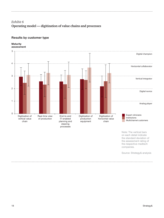## *Exhibit 6* **Operating model — digitization of value chains and processes**

### Results by customer type

#### **Maturity** assessment



Source: Strategy& analysis

companies.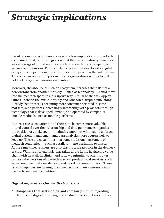## *Strategic implications*

Based on our analysis, there are several clear implications for medtech companies. First, our findings show that the overall industry remains at an early stage of digital maturity, with no clear digital champion yet across the dimensions. For example, no player has developed a digital ecosystem comprising multiple players and steps across the value chain. This is a clear opportunity for medtech organizations willing to make bold bets to gain a first-mover advantage.

Moreover, the absence of such an ecosystem increases the risk that a new entrant from another industry — such as technology — could move into the medtech space in a disruptive way, similar to the way Apple's iTunes upended the music industry and Amazon disrupted publishing. Already, healthcare is becoming more consumer-oriented in some markets, with patients increasingly interacting with providers through technology that is developed, owned, and operated by companies outside medtech, such as mobile platforms.

As direct access to patients and their data becomes more valuable — and control over that relationship and data puts some companies in the position of gatekeeper — medtech companies will need to embrace digital patient management and data analytics more aggressively to keep up. These are capabilities that some traditional customers of medtech companies — such as retailers — are beginning to master. At the same time, retailers are also playing a greater role in the delivery of care. Walmart, for example, has taken a role in the healthcare value chain with its walk-in clinics, and is now beginning to offer its own private-label versions of low-tech medical products and services, such as walkers, medical alert devices, and blood pressure monitors. These retail companies are turning from medtech company customers into medtech company competitors.

### *Digital imperatives for medtech clusters*

**• Companies that sell medical aids** are fairly mature regarding their use of digital in pricing and customer access. However, they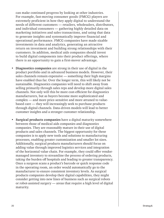can make continued progress by looking at other industries. For example, fast-moving consumer goods (FMCG) players are extremely proficient in how they apply digital to understand the needs of different customers — retailers, wholesalers, distributors, and individual consumers — gathering highly detailed data on marketing initiatives and sales transactions, and using that data to generate insights and systematically improve financial and operational performance. FMCG companies have made sizable investments in data and analytics, generating an attractive return on investment and building strong relationships with their customers. In addition, medical aids companies should invest to build digital components into their product offerings, where there is an opportunity to gain a first-mover advantage.

- **• Diagnostics companies** are strong in their use of digital in the product portfolio and in advanced business models. However, their sales channels remain expensive — something their high margins have enabled thus far. Over the longer term, this will likely not be sustainable. Diagnostics companies will need to shift away from selling primarily through sales reps and develop more digital sales channels. Not only will this be more cost-efficient for diagnostics manufacturers, but as buyers become more sophisticated and complex — and more price-sensitive and more attuned to valuebased care — they will increasingly seek to purchase products through digital channels. Data-driven models will lead to better customer insights and a stronger customer relationship.
- **• Surgical products companies** have a digital maturity somewhere between those of medical aids companies and diagnostics companies. They are reasonably mature in their use of digital products and sales channels. The biggest opportunity for these companies is to apply new tools and solutions to manufacturing processes, enabling greater customization and smaller lot sizes. Additionally, surgical products manufacturers should focus on adding value through improved logistics services and integration of the horizontal value chain. For example, they could offer vendormanaged inventory to streamline the process of ordering products, taking the burden off hospitals and leading to greater transparency. Once a surgeon scans a product's barcode or quick response code in the operating room, an order would automatically go to the manufacturer to ensure consistent inventory levels. As surgical products companies develop their digital capabilities, they might consider getting into new lines of business such as surgical robots or robot-assisted surgery — areas that require a high level of digital maturity.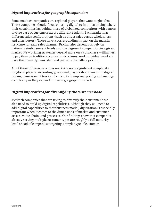## *Digital imperatives for geographic expansion*

Some medtech companies are regional players that want to globalize. These companies should focus on using digital to improve pricing where their capabilities lag behind those of globalized competitors with a more diverse base of customers across different regions. Each market has different sales configurations (such as direct sales versus wholesalers and distributors). Those have a corresponding impact on the margin structure for each sales channel. Pricing also depends largely on national reimbursement levels and the degree of competition in a given market. New pricing strategies depend more on a customer's willingness to pay than on traditional cost-plus structures. And individual markets have their own dynamic demand patterns that affect pricing.

All of these differences across markets create significant complexity for global players. Accordingly, regional players should invest in digital pricing management tools and concepts to improve pricing and manage complexity as they expand into new geographic markets.

## *Digital imperatives for diversifying the customer base*

Medtech companies that are trying to diversify their customer base also need to build up digital capabilities. Although they will need to add digital capabilities to their business model, digitization is especially important when it comes to the dimensions of market and customer access, value chain, and processes. Our findings show that companies already serving multiple customer types are roughly a full maturity level ahead of companies targeting a single type of customer.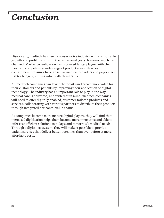## *Conclusion*

Historically, medtech has been a conservative industry with comfortable growth and profit margins. In the last several years, however, much has changed. Market consolidation has produced larger players with the means to compete in a wide range of product areas. New cost containment pressures have arisen as medical providers and payors face tighter budgets, cutting into medtech margins.

All medtech companies can lower their costs and create more value for their customers and patients by improving their application of digital technology. The industry has an important role to play in the way medical care is delivered, and with that in mind, medtech companies will need to offer digitally enabled, customer-tailored products and services, collaborating with various partners to distribute their products through integrated horizontal value chains.

As companies become more mature digital players, they will find that increased digitization helps them become more innovative and able to offer cost-efficient solutions to today's and tomorrow's medical needs. Through a digital ecosystem, they will make it possible to provide patient services that deliver better outcomes than ever before at more affordable costs.